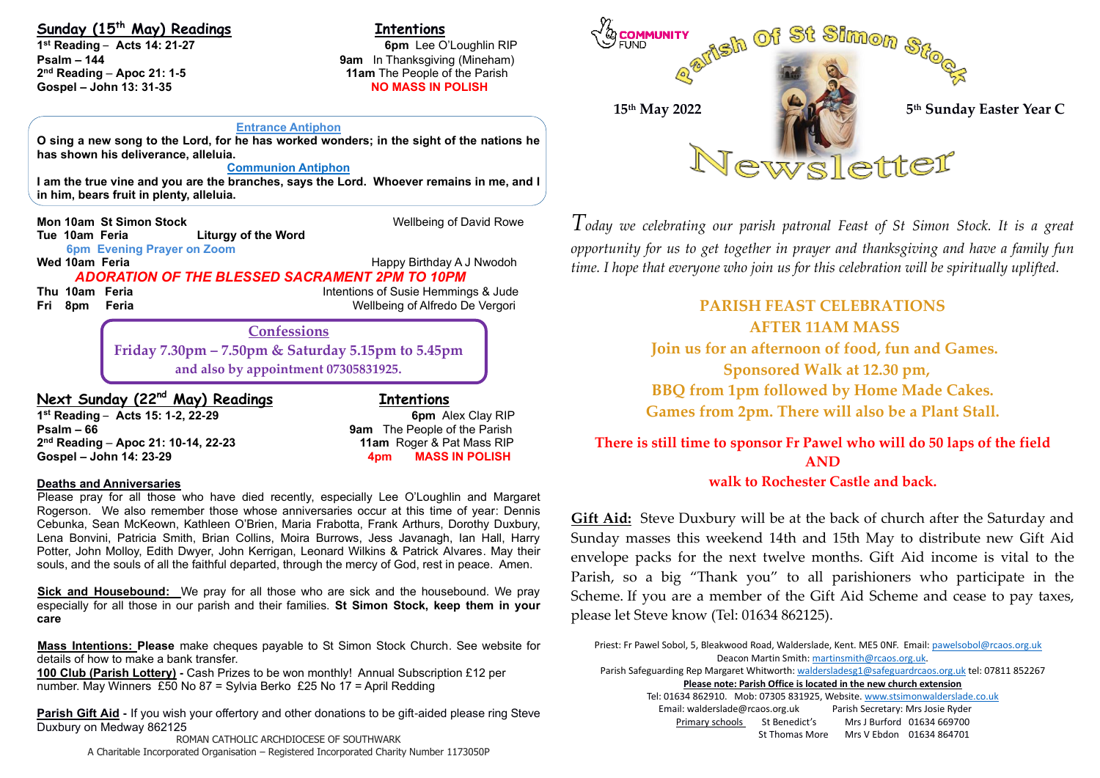### **Sunday (15th May) Readings Intentions**

**1 st Reading** – **Acts 14: 21-27 6pm** Lee O'Loughlin RIP **Psalm – 144 144 144 144 144 144 144 9am In Thanksgiving (Mineham)** 2<sup>nd</sup> Reading - Apoc 21: 1-5 **Gospel – John 13: 31-35** 

Ì

**11am** The People of the Parish

#### **Entrance Antiphon**

**O sing a new song to the Lord, for he has worked wonders; in the sight of the nations he has shown his deliverance, alleluia.**

#### **Communion Antiphon**

**I am the true vine and you are the branches, says the Lord. Whoever remains in me, and I in him, bears fruit in plenty, alleluia.**

**Mon 10am St Simon Stock** Wellbeing of David Rowe **Tue 10am Feria Liturgy of the Word 6pm Evening Prayer on Zoom Wed 10am Feria Happy Birthday A J Nwodoh Happy Birthday A J Nwodoh** *ADORATION OF THE BLESSED SACRAMENT 2PM TO 10PM* **Thu 10am Feria Intentions of Susie Hemmings & Jude Fri 8pm Feria** Wellbeing of Alfredo De Vergori

## **Confessions**

**Friday 7.30pm – 7.50pm & Saturday 5.15pm to 5.45pm and also by appointment 07305831925.**

**Next Sunday (22nd May) Readings Intentions 1 st Reading** – **Acts 15: 1-2, 22-29 6pm** Alex Clay RIP **Psalm – 66 9am** The People of the Parish **2 nd Reading** – **Apoc 21: 10-14, 22-23 11am** Roger & Pat Mass RIP **Gospel – John 14: 23-29 4pm MASS IN POLISH**

#### **Deaths and Anniversaries**

Please pray for all those who have died recently, especially Lee O'Loughlin and Margaret Rogerson. We also remember those whose anniversaries occur at this time of year: Dennis Cebunka, Sean McKeown, Kathleen O'Brien, Maria Frabotta, Frank Arthurs, Dorothy Duxbury, Lena Bonvini, Patricia Smith, Brian Collins, Moira Burrows, Jess Javanagh, Ian Hall, Harry Potter, John Molloy, Edith Dwyer, John Kerrigan, Leonard Wilkins & Patrick Alvares. May their souls, and the souls of all the faithful departed, through the mercy of God, rest in peace. Amen.

**Sick and Housebound:** We pray for all those who are sick and the housebound. We pray especially for all those in our parish and their families. **St Simon Stock, keep them in your care**

**Mass Intentions: Please** make cheques payable to St Simon Stock Church. See website for details of how to make a bank transfer.

**100 Club (Parish Lottery) -** Cash Prizes to be won monthly! Annual Subscription £12 per number. May Winners £50 No 87 = Sylvia Berko £25 No 17 = April Redding

**Parish Gift Aid -** If you wish your offertory and other donations to be gift-aided please ring Steve Duxbury on Medway 862125

ROMAN CATHOLIC ARCHDIOCESE OF SOUTHWARK A Charitable Incorporated Organisation – Registered Incorporated Charity Number 1173050P



*Today we celebrating our parish patronal Feast of St Simon Stock. It is a great opportunity for us to get together in prayer and thanksgiving and have a family fun time. I hope that everyone who join us for this celebration will be spiritually uplifted.* 

### **PARISH FEAST CELEBRATIONS AFTER 11AM MASS**

**Join us for an afternoon of food, fun and Games. Sponsored Walk at 12.30 pm, BBQ from 1pm followed by Home Made Cakes. Games from 2pm. There will also be a Plant Stall.**

# **There is still time to sponsor Fr Pawel who will do 50 laps of the field AND**

### **walk to Rochester Castle and back.**

**Gift Aid:** Steve Duxbury will be at the back of church after the Saturday and Sunday masses this weekend 14th and 15th May to distribute new Gift Aid envelope packs for the next twelve months. Gift Aid income is vital to the Parish, so a big "Thank you" to all parishioners who participate in the Scheme. If you are a member of the Gift Aid Scheme and cease to pay taxes, please let Steve know (Tel: 01634 862125).

Priest: Fr Pawel Sobol, 5, Bleakwood Road, Walderslade, Kent. ME5 0NF. Email: pawelsobol@rcaos.org.uk Deacon Martin Smith[: martinsmith@rcaos.org.uk.](mailto:martinsmith@rcaos.org.uk)  Parish Safeguarding Rep Margaret Whitworth[: waldersladesg1@safeguardrcaos.org.uk](mailto:waldersladesg1@safeguardrcaos.org.uk) tel: 07811 852267 **Please note: Parish Office is located in the new church extension** Tel: 01634 862910. Mob: 07305 831925, Website[. www.stsimonwalderslade.co.uk](http://www.stsimonwalderslade/)

Email[: walderslade@rcaos.org.uk](mailto:walderslade@rcaos.org.uk) Parish Secretary: Mrs Josie Ryder Primary schools St Benedict's Mrs J Burford 01634 669700 St Thomas More Mrs V Ebdon 01634 864701